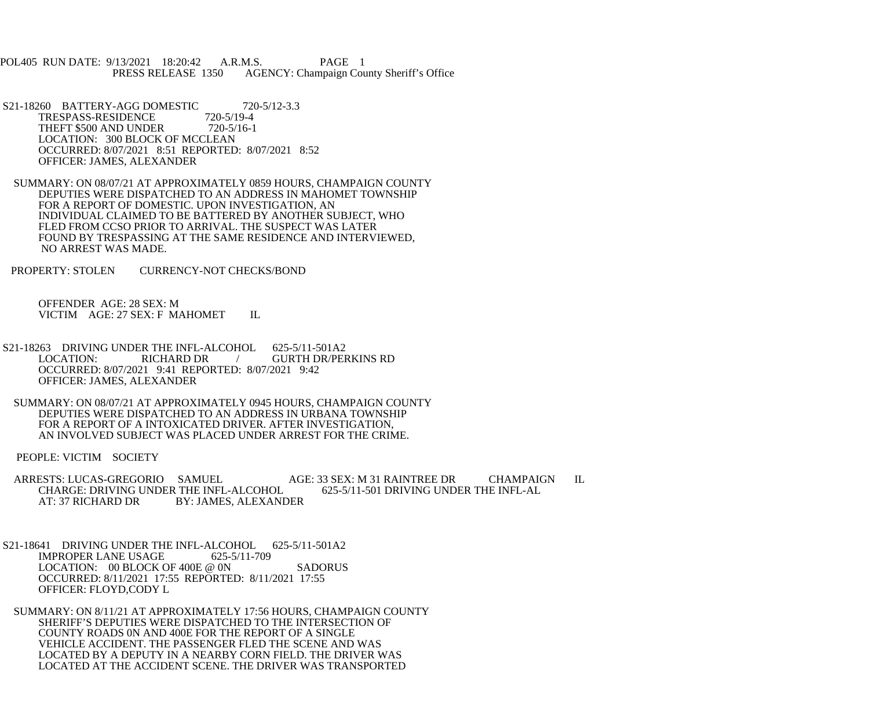POL405 RUN DATE: 9/13/2021 18:20:42 A.R.M.S. PAGE 1<br>PRESS RELEASE 1350 AGENCY: Champaign Cou AGENCY: Champaign County Sheriff's Office

S21-18260 BATTERY-AGG DOMESTIC 720-5/12-3.3<br>TRESPASS-RESIDENCE 720-5/19-4 TRESPASS-RESIDENCE 720-5/19-4<br>THEFT \$500 AND UNDER 720-5/16-1 THEFT \$500 AND UNDER LOCATION: 300 BLOCK OF MCCLEAN OCCURRED: 8/07/2021 8:51 REPORTED: 8/07/2021 8:52 OFFICER: JAMES, ALEXANDER

 SUMMARY: ON 08/07/21 AT APPROXIMATELY 0859 HOURS, CHAMPAIGN COUNTY DEPUTIES WERE DISPATCHED TO AN ADDRESS IN MAHOMET TOWNSHIP FOR A REPORT OF DOMESTIC. UPON INVESTIGATION, AN INDIVIDUAL CLAIMED TO BE BATTERED BY ANOTHER SUBJECT, WHO FLED FROM CCSO PRIOR TO ARRIVAL. THE SUSPECT WAS LATER FOUND BY TRESPASSING AT THE SAME RESIDENCE AND INTERVIEWED, NO ARREST WAS MADE.

PROPERTY: STOLEN CURRENCY-NOT CHECKS/BOND

 OFFENDER AGE: 28 SEX: M VICTIM AGE: 27 SEX: F MAHOMET IL

- S21-18263 DRIVING UNDER THE INFL-ALCOHOL 625-5/11-501A2<br>LOCATION: RICHARD DR / GURTH DR/PER LOCATION: RICHARD DR / GURTH DR/PERKINS RD OCCURRED: 8/07/2021 9:41 REPORTED: 8/07/2021 9:42 OFFICER: JAMES, ALEXANDER
- SUMMARY: ON 08/07/21 AT APPROXIMATELY 0945 HOURS, CHAMPAIGN COUNTY DEPUTIES WERE DISPATCHED TO AN ADDRESS IN URBANA TOWNSHIP FOR A REPORT OF A INTOXICATED DRIVER. AFTER INVESTIGATION, AN INVOLVED SUBJECT WAS PLACED UNDER ARREST FOR THE CRIME.

PEOPLE: VICTIM SOCIETY

ARRESTS: LUCAS-GREGORIO SAMUEL AGE: 33 SEX: M 31 RAINTREE DR CHAMPAIGN IL<br>CHARGE: DRIVING UNDER THE INFL-ALCOHOL 625-5/11-501 DRIVING UNDER THE INFL-AL CHARGE: DRIVING UNDER THE INFL-ALCOHOL<br>AT: 37 RICHARD DR<br>BY: JAMES. ALEXAND **BY: JAMES, ALEXANDER** 

- S21-18641 DRIVING UNDER THE INFL-ALCOHOL 625-5/11-501A2 IMPROPER LANE USAGE 625-5/11-709 LOCATION: 00 BLOCK OF 400E @ 0N SADORUS OCCURRED: 8/11/2021 17:55 REPORTED: 8/11/2021 17:55 OFFICER: FLOYD,CODY L
- SUMMARY: ON 8/11/21 AT APPROXIMATELY 17:56 HOURS, CHAMPAIGN COUNTY SHERIFF'S DEPUTIES WERE DISPATCHED TO THE INTERSECTION OF COUNTY ROADS 0N AND 400E FOR THE REPORT OF A SINGLE VEHICLE ACCIDENT. THE PASSENGER FLED THE SCENE AND WAS LOCATED BY A DEPUTY IN A NEARBY CORN FIELD. THE DRIVER WAS LOCATED AT THE ACCIDENT SCENE. THE DRIVER WAS TRANSPORTED